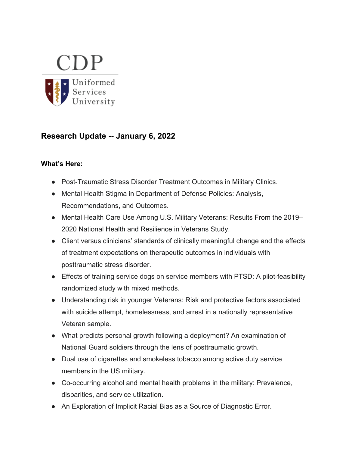

# **Research Update -- January 6, 2022**

#### **What's Here:**

- Post-Traumatic Stress Disorder Treatment Outcomes in Military Clinics.
- Mental Health Stigma in Department of Defense Policies: Analysis, Recommendations, and Outcomes.
- Mental Health Care Use Among U.S. Military Veterans: Results From the 2019– 2020 National Health and Resilience in Veterans Study.
- Client versus clinicians' standards of clinically meaningful change and the effects of treatment expectations on therapeutic outcomes in individuals with posttraumatic stress disorder.
- Effects of training service dogs on service members with PTSD: A pilot-feasibility randomized study with mixed methods.
- Understanding risk in younger Veterans: Risk and protective factors associated with suicide attempt, homelessness, and arrest in a nationally representative Veteran sample.
- What predicts personal growth following a deployment? An examination of National Guard soldiers through the lens of posttraumatic growth.
- Dual use of cigarettes and smokeless tobacco among active duty service members in the US military.
- Co-occurring alcohol and mental health problems in the military: Prevalence, disparities, and service utilization.
- An Exploration of Implicit Racial Bias as a Source of Diagnostic Error.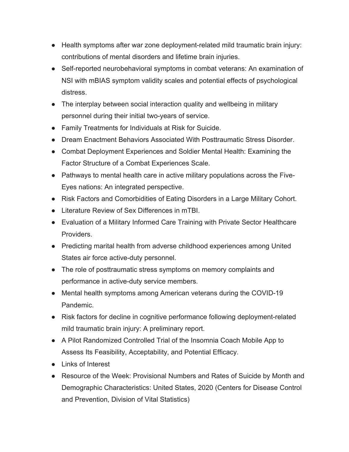- Health symptoms after war zone deployment-related mild traumatic brain injury: contributions of mental disorders and lifetime brain injuries.
- Self-reported neurobehavioral symptoms in combat veterans: An examination of NSI with mBIAS symptom validity scales and potential effects of psychological distress.
- The interplay between social interaction quality and wellbeing in military personnel during their initial two-years of service.
- Family Treatments for Individuals at Risk for Suicide.
- Dream Enactment Behaviors Associated With Posttraumatic Stress Disorder.
- Combat Deployment Experiences and Soldier Mental Health: Examining the Factor Structure of a Combat Experiences Scale.
- Pathways to mental health care in active military populations across the Five-Eyes nations: An integrated perspective.
- Risk Factors and Comorbidities of Eating Disorders in a Large Military Cohort.
- Literature Review of Sex Differences in mTBI.
- Evaluation of a Military Informed Care Training with Private Sector Healthcare Providers.
- Predicting marital health from adverse childhood experiences among United States air force active-duty personnel.
- The role of posttraumatic stress symptoms on memory complaints and performance in active-duty service members.
- Mental health symptoms among American veterans during the COVID-19 Pandemic.
- Risk factors for decline in cognitive performance following deployment-related mild traumatic brain injury: A preliminary report.
- A Pilot Randomized Controlled Trial of the Insomnia Coach Mobile App to Assess Its Feasibility, Acceptability, and Potential Efficacy.
- Links of Interest
- Resource of the Week: Provisional Numbers and Rates of Suicide by Month and Demographic Characteristics: United States, 2020 (Centers for Disease Control and Prevention, Division of Vital Statistics)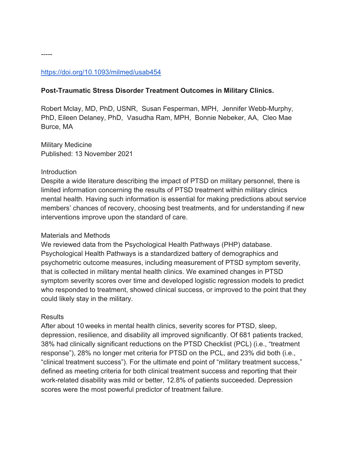### https://doi.org/10.1093/milmed/usab454

#### **Post-Traumatic Stress Disorder Treatment Outcomes in Military Clinics.**

Robert Mclay, MD, PhD, USNR, Susan Fesperman, MPH, Jennifer Webb-Murphy, PhD, Eileen Delaney, PhD, Vasudha Ram, MPH, Bonnie Nebeker, AA, Cleo Mae Burce, MA

Military Medicine Published: 13 November 2021

#### **Introduction**

Despite a wide literature describing the impact of PTSD on military personnel, there is limited information concerning the results of PTSD treatment within military clinics mental health. Having such information is essential for making predictions about service members' chances of recovery, choosing best treatments, and for understanding if new interventions improve upon the standard of care.

#### Materials and Methods

We reviewed data from the Psychological Health Pathways (PHP) database. Psychological Health Pathways is a standardized battery of demographics and psychometric outcome measures, including measurement of PTSD symptom severity, that is collected in military mental health clinics. We examined changes in PTSD symptom severity scores over time and developed logistic regression models to predict who responded to treatment, showed clinical success, or improved to the point that they could likely stay in the military.

#### **Results**

After about 10 weeks in mental health clinics, severity scores for PTSD, sleep, depression, resilience, and disability all improved significantly. Of 681 patients tracked, 38% had clinically significant reductions on the PTSD Checklist (PCL) (i.e., "treatment response"), 28% no longer met criteria for PTSD on the PCL, and 23% did both (i.e., "clinical treatment success"). For the ultimate end point of "military treatment success," defined as meeting criteria for both clinical treatment success and reporting that their work-related disability was mild or better, 12.8% of patients succeeded. Depression scores were the most powerful predictor of treatment failure.

-----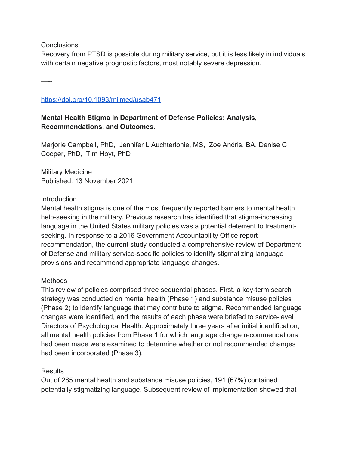**Conclusions** 

Recovery from PTSD is possible during military service, but it is less likely in individuals with certain negative prognostic factors, most notably severe depression.

—--

### https://doi.org/10.1093/milmed/usab471

# **Mental Health Stigma in Department of Defense Policies: Analysis, Recommendations, and Outcomes.**

Marjorie Campbell, PhD, Jennifer L Auchterlonie, MS, Zoe Andris, BA, Denise C Cooper, PhD, Tim Hoyt, PhD

Military Medicine Published: 13 November 2021

### **Introduction**

Mental health stigma is one of the most frequently reported barriers to mental health help-seeking in the military. Previous research has identified that stigma-increasing language in the United States military policies was a potential deterrent to treatmentseeking. In response to a 2016 Government Accountability Office report recommendation, the current study conducted a comprehensive review of Department of Defense and military service-specific policies to identify stigmatizing language provisions and recommend appropriate language changes.

# Methods

This review of policies comprised three sequential phases. First, a key-term search strategy was conducted on mental health (Phase 1) and substance misuse policies (Phase 2) to identify language that may contribute to stigma. Recommended language changes were identified, and the results of each phase were briefed to service-level Directors of Psychological Health. Approximately three years after initial identification, all mental health policies from Phase 1 for which language change recommendations had been made were examined to determine whether or not recommended changes had been incorporated (Phase 3).

# Results

Out of 285 mental health and substance misuse policies, 191 (67%) contained potentially stigmatizing language. Subsequent review of implementation showed that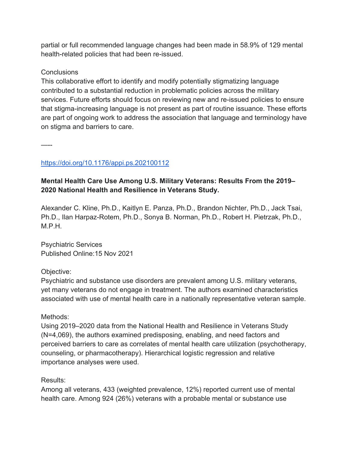partial or full recommended language changes had been made in 58.9% of 129 mental health-related policies that had been re-issued.

## **Conclusions**

This collaborative effort to identify and modify potentially stigmatizing language contributed to a substantial reduction in problematic policies across the military services. Future efforts should focus on reviewing new and re-issued policies to ensure that stigma-increasing language is not present as part of routine issuance. These efforts are part of ongoing work to address the association that language and terminology have on stigma and barriers to care.

—--

# https://doi.org/10.1176/appi.ps.202100112

# **Mental Health Care Use Among U.S. Military Veterans: Results From the 2019– 2020 National Health and Resilience in Veterans Study.**

Alexander C. Kline, Ph.D., Kaitlyn E. Panza, Ph.D., Brandon Nichter, Ph.D., Jack Tsai, Ph.D., Ilan Harpaz-Rotem, Ph.D., Sonya B. Norman, Ph.D., Robert H. Pietrzak, Ph.D., M.P.H.

Psychiatric Services Published Online:15 Nov 2021

# Objective:

Psychiatric and substance use disorders are prevalent among U.S. military veterans, yet many veterans do not engage in treatment. The authors examined characteristics associated with use of mental health care in a nationally representative veteran sample.

### Methods:

Using 2019–2020 data from the National Health and Resilience in Veterans Study (N=4,069), the authors examined predisposing, enabling, and need factors and perceived barriers to care as correlates of mental health care utilization (psychotherapy, counseling, or pharmacotherapy). Hierarchical logistic regression and relative importance analyses were used.

### Results:

Among all veterans, 433 (weighted prevalence, 12%) reported current use of mental health care. Among 924 (26%) veterans with a probable mental or substance use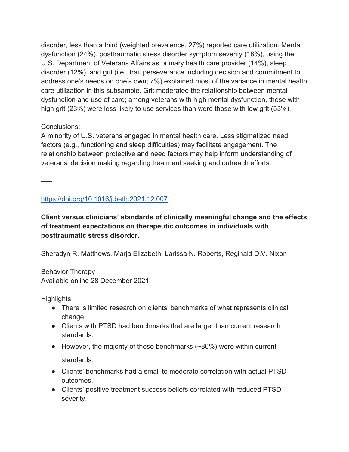disorder, less than a third (weighted prevalence, 27%) reported care utilization. Mental dysfunction (24%), posttraumatic stress disorder symptom severity (18%), using the U.S. Department of Veterans Affairs as primary health care provider (14%), sleep disorder (12%), and grit (i.e., trait perseverance including decision and commitment to address one's needs on one's own; 7%) explained most of the variance in mental health care utilization in this subsample. Grit moderated the relationship between mental dysfunction and use of care; among veterans with high mental dysfunction, those with high grit (23%) were less likely to use services than were those with low grit (53%).

# Conclusions:

A minority of U.S. veterans engaged in mental health care. Less stigmatized need factors (e.g., functioning and sleep difficulties) may facilitate engagement. The relationship between protective and need factors may help inform understanding of veterans' decision making regarding treatment seeking and outreach efforts.

—--

# https://doi.org/10.1016/j.beth.2021.12.007

**Client versus clinicians' standards of clinically meaningful change and the effects of treatment expectations on therapeutic outcomes in individuals with posttraumatic stress disorder.**

Sheradyn R. Matthews, Marja Elizabeth, Larissa N. Roberts, Reginald D.V. Nixon

Behavior Therapy Available online 28 December 2021

**Highlights** 

- There is limited research on clients' benchmarks of what represents clinical change.
- Clients with PTSD had benchmarks that are larger than current research standards.
- However, the majority of these benchmarks ( $\sim$ 80%) were within current standards.
- Clients' benchmarks had a small to moderate correlation with actual PTSD outcomes.
- Clients' positive treatment success beliefs correlated with reduced PTSD severity.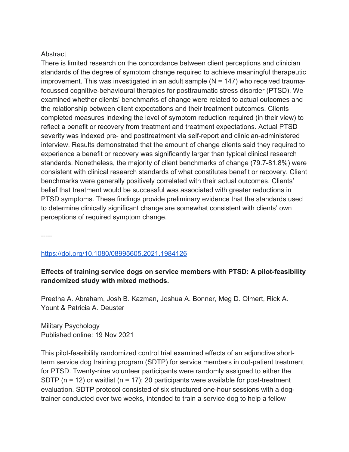#### **Abstract**

There is limited research on the concordance between client perceptions and clinician standards of the degree of symptom change required to achieve meaningful therapeutic improvement. This was investigated in an adult sample  $(N = 147)$  who received traumafocussed cognitive-behavioural therapies for posttraumatic stress disorder (PTSD). We examined whether clients' benchmarks of change were related to actual outcomes and the relationship between client expectations and their treatment outcomes. Clients completed measures indexing the level of symptom reduction required (in their view) to reflect a benefit or recovery from treatment and treatment expectations. Actual PTSD severity was indexed pre- and posttreatment via self-report and clinician-administered interview. Results demonstrated that the amount of change clients said they required to experience a benefit or recovery was significantly larger than typical clinical research standards. Nonetheless, the majority of client benchmarks of change (79.7-81.8%) were consistent with clinical research standards of what constitutes benefit or recovery. Client benchmarks were generally positively correlated with their actual outcomes. Clients' belief that treatment would be successful was associated with greater reductions in PTSD symptoms. These findings provide preliminary evidence that the standards used to determine clinically significant change are somewhat consistent with clients' own perceptions of required symptom change.

-----

#### https://doi.org/10.1080/08995605.2021.1984126

### **Effects of training service dogs on service members with PTSD: A pilot-feasibility randomized study with mixed methods.**

Preetha A. Abraham, Josh B. Kazman, Joshua A. Bonner, Meg D. Olmert, Rick A. Yount & Patricia A. Deuster

Military Psychology Published online: 19 Nov 2021

This pilot-feasibility randomized control trial examined effects of an adjunctive shortterm service dog training program (SDTP) for service members in out-patient treatment for PTSD. Twenty-nine volunteer participants were randomly assigned to either the SDTP ( $n = 12$ ) or waitlist ( $n = 17$ ); 20 participants were available for post-treatment evaluation. SDTP protocol consisted of six structured one-hour sessions with a dogtrainer conducted over two weeks, intended to train a service dog to help a fellow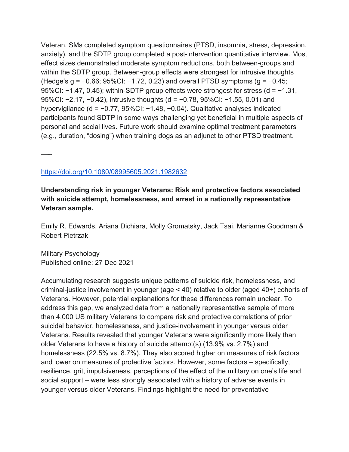Veteran. SMs completed symptom questionnaires (PTSD, insomnia, stress, depression, anxiety), and the SDTP group completed a post-intervention quantitative interview. Most effect sizes demonstrated moderate symptom reductions, both between-groups and within the SDTP group. Between-group effects were strongest for intrusive thoughts (Hedge's g = −0.66; 95%CI: −1.72, 0.23) and overall PTSD symptoms (g = −0.45; 95%CI: −1.47, 0.45); within-SDTP group effects were strongest for stress (d = −1.31, 95%CI: −2.17, −0.42), intrusive thoughts (d = −0.78, 95%CI: −1.55, 0.01) and hypervigilance (d = −0.77, 95%CI: −1.48, −0.04). Qualitative analyses indicated participants found SDTP in some ways challenging yet beneficial in multiple aspects of personal and social lives. Future work should examine optimal treatment parameters (e.g., duration, "dosing") when training dogs as an adjunct to other PTSD treatment.

—--

### https://doi.org/10.1080/08995605.2021.1982632

# **Understanding risk in younger Veterans: Risk and protective factors associated with suicide attempt, homelessness, and arrest in a nationally representative Veteran sample.**

Emily R. Edwards, Ariana Dichiara, Molly Gromatsky, Jack Tsai, Marianne Goodman & Robert Pietrzak

Military Psychology Published online: 27 Dec 2021

Accumulating research suggests unique patterns of suicide risk, homelessness, and criminal-justice involvement in younger (age < 40) relative to older (aged 40+) cohorts of Veterans. However, potential explanations for these differences remain unclear. To address this gap, we analyzed data from a nationally representative sample of more than 4,000 US military Veterans to compare risk and protective correlations of prior suicidal behavior, homelessness, and justice-involvement in younger versus older Veterans. Results revealed that younger Veterans were significantly more likely than older Veterans to have a history of suicide attempt(s) (13.9% vs. 2.7%) and homelessness (22.5% vs. 8.7%). They also scored higher on measures of risk factors and lower on measures of protective factors. However, some factors – specifically, resilience, grit, impulsiveness, perceptions of the effect of the military on one's life and social support – were less strongly associated with a history of adverse events in younger versus older Veterans. Findings highlight the need for preventative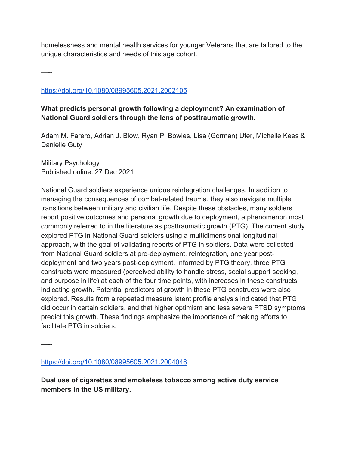homelessness and mental health services for younger Veterans that are tailored to the unique characteristics and needs of this age cohort.

—--

### https://doi.org/10.1080/08995605.2021.2002105

### **What predicts personal growth following a deployment? An examination of National Guard soldiers through the lens of posttraumatic growth.**

Adam M. Farero, Adrian J. Blow, Ryan P. Bowles, Lisa (Gorman) Ufer, Michelle Kees & Danielle Guty

Military Psychology Published online: 27 Dec 2021

National Guard soldiers experience unique reintegration challenges. In addition to managing the consequences of combat-related trauma, they also navigate multiple transitions between military and civilian life. Despite these obstacles, many soldiers report positive outcomes and personal growth due to deployment, a phenomenon most commonly referred to in the literature as posttraumatic growth (PTG). The current study explored PTG in National Guard soldiers using a multidimensional longitudinal approach, with the goal of validating reports of PTG in soldiers. Data were collected from National Guard soldiers at pre-deployment, reintegration, one year postdeployment and two years post-deployment. Informed by PTG theory, three PTG constructs were measured (perceived ability to handle stress, social support seeking, and purpose in life) at each of the four time points, with increases in these constructs indicating growth. Potential predictors of growth in these PTG constructs were also explored. Results from a repeated measure latent profile analysis indicated that PTG did occur in certain soldiers, and that higher optimism and less severe PTSD symptoms predict this growth. These findings emphasize the importance of making efforts to facilitate PTG in soldiers.

—--

https://doi.org/10.1080/08995605.2021.2004046

**Dual use of cigarettes and smokeless tobacco among active duty service members in the US military.**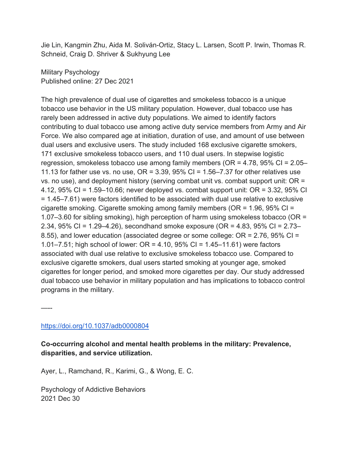Jie Lin, Kangmin Zhu, Aida M. Soliván-Ortiz, Stacy L. Larsen, Scott P. Irwin, Thomas R. Schneid, Craig D. Shriver & Sukhyung Lee

Military Psychology Published online: 27 Dec 2021

The high prevalence of dual use of cigarettes and smokeless tobacco is a unique tobacco use behavior in the US military population. However, dual tobacco use has rarely been addressed in active duty populations. We aimed to identify factors contributing to dual tobacco use among active duty service members from Army and Air Force. We also compared age at initiation, duration of use, and amount of use between dual users and exclusive users. The study included 168 exclusive cigarette smokers, 171 exclusive smokeless tobacco users, and 110 dual users. In stepwise logistic regression, smokeless tobacco use among family members (OR = 4.78, 95% CI = 2.05– 11.13 for father use vs. no use,  $OR = 3.39$ ,  $95\%$  CI = 1.56–7.37 for other relatives use vs. no use), and deployment history (serving combat unit vs. combat support unit: OR = 4.12, 95% CI = 1.59–10.66; never deployed vs. combat support unit: OR = 3.32, 95% CI = 1.45–7.61) were factors identified to be associated with dual use relative to exclusive cigarette smoking. Cigarette smoking among family members (OR = 1.96, 95% CI = 1.07–3.60 for sibling smoking), high perception of harm using smokeless tobacco (OR = 2.34, 95% CI = 1.29–4.26), secondhand smoke exposure (OR = 4.83, 95% CI = 2.73– 8.55), and lower education (associated degree or some college: OR = 2.76, 95% CI = 1.01–7.51; high school of lower: OR = 4.10, 95% CI = 1.45–11.61) were factors associated with dual use relative to exclusive smokeless tobacco use. Compared to exclusive cigarette smokers, dual users started smoking at younger age, smoked cigarettes for longer period, and smoked more cigarettes per day. Our study addressed dual tobacco use behavior in military population and has implications to tobacco control programs in the military.

—--

# https://doi.org/10.1037/adb0000804

**Co-occurring alcohol and mental health problems in the military: Prevalence, disparities, and service utilization.**

Ayer, L., Ramchand, R., Karimi, G., & Wong, E. C.

Psychology of Addictive Behaviors 2021 Dec 30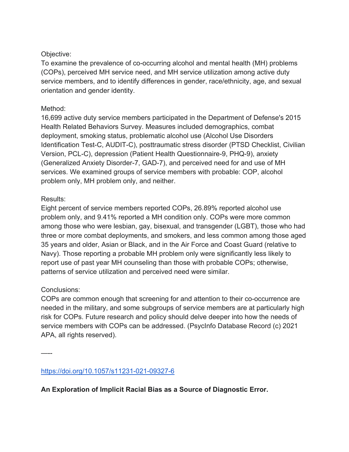### Objective:

To examine the prevalence of co-occurring alcohol and mental health (MH) problems (COPs), perceived MH service need, and MH service utilization among active duty service members, and to identify differences in gender, race/ethnicity, age, and sexual orientation and gender identity.

### Method:

16,699 active duty service members participated in the Department of Defense's 2015 Health Related Behaviors Survey. Measures included demographics, combat deployment, smoking status, problematic alcohol use (Alcohol Use Disorders Identification Test-C, AUDIT-C), posttraumatic stress disorder (PTSD Checklist, Civilian Version, PCL-C), depression (Patient Health Questionnaire-9, PHQ-9), anxiety (Generalized Anxiety Disorder-7, GAD-7), and perceived need for and use of MH services. We examined groups of service members with probable: COP, alcohol problem only, MH problem only, and neither.

### Results:

Eight percent of service members reported COPs, 26.89% reported alcohol use problem only, and 9.41% reported a MH condition only. COPs were more common among those who were lesbian, gay, bisexual, and transgender (LGBT), those who had three or more combat deployments, and smokers, and less common among those aged 35 years and older, Asian or Black, and in the Air Force and Coast Guard (relative to Navy). Those reporting a probable MH problem only were significantly less likely to report use of past year MH counseling than those with probable COPs; otherwise, patterns of service utilization and perceived need were similar.

# Conclusions:

—--

COPs are common enough that screening for and attention to their co-occurrence are needed in the military, and some subgroups of service members are at particularly high risk for COPs. Future research and policy should delve deeper into how the needs of service members with COPs can be addressed. (PsycInfo Database Record (c) 2021 APA, all rights reserved).

https://doi.org/10.1057/s11231-021-09327-6

**An Exploration of Implicit Racial Bias as a Source of Diagnostic Error.**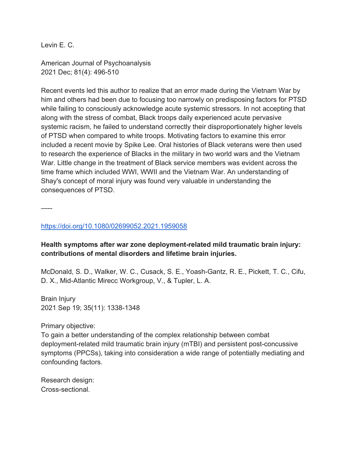Levin E. C.

American Journal of Psychoanalysis 2021 Dec; 81(4): 496-510

Recent events led this author to realize that an error made during the Vietnam War by him and others had been due to focusing too narrowly on predisposing factors for PTSD while failing to consciously acknowledge acute systemic stressors. In not accepting that along with the stress of combat, Black troops daily experienced acute pervasive systemic racism, he failed to understand correctly their disproportionately higher levels of PTSD when compared to white troops. Motivating factors to examine this error included a recent movie by Spike Lee. Oral histories of Black veterans were then used to research the experience of Blacks in the military in two world wars and the Vietnam War. Little change in the treatment of Black service members was evident across the time frame which included WWI, WWII and the Vietnam War. An understanding of Shay's concept of moral injury was found very valuable in understanding the consequences of PTSD.

—--

#### https://doi.org/10.1080/02699052.2021.1959058

### **Health symptoms after war zone deployment-related mild traumatic brain injury: contributions of mental disorders and lifetime brain injuries.**

McDonald, S. D., Walker, W. C., Cusack, S. E., Yoash-Gantz, R. E., Pickett, T. C., Cifu, D. X., Mid-Atlantic Mirecc Workgroup, V., & Tupler, L. A.

Brain Injury 2021 Sep 19; 35(11): 1338-1348

Primary objective:

To gain a better understanding of the complex relationship between combat deployment-related mild traumatic brain injury (mTBI) and persistent post-concussive symptoms (PPCSs), taking into consideration a wide range of potentially mediating and confounding factors.

Research design: Cross-sectional.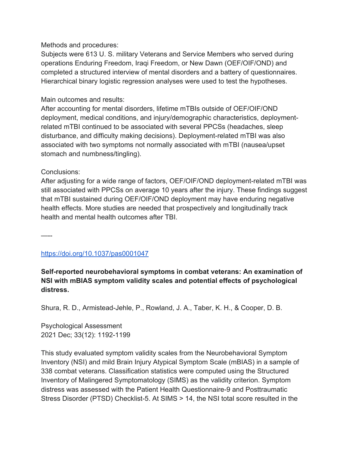### Methods and procedures:

Subjects were 613 U. S. military Veterans and Service Members who served during operations Enduring Freedom, Iraqi Freedom, or New Dawn (OEF/OIF/OND) and completed a structured interview of mental disorders and a battery of questionnaires. Hierarchical binary logistic regression analyses were used to test the hypotheses.

### Main outcomes and results:

After accounting for mental disorders, lifetime mTBIs outside of OEF/OIF/OND deployment, medical conditions, and injury/demographic characteristics, deploymentrelated mTBI continued to be associated with several PPCSs (headaches, sleep disturbance, and difficulty making decisions). Deployment-related mTBI was also associated with two symptoms not normally associated with mTBI (nausea/upset stomach and numbness/tingling).

### Conclusions:

After adjusting for a wide range of factors, OEF/OIF/OND deployment-related mTBI was still associated with PPCSs on average 10 years after the injury. These findings suggest that mTBI sustained during OEF/OIF/OND deployment may have enduring negative health effects. More studies are needed that prospectively and longitudinally track health and mental health outcomes after TBI.

—--

# https://doi.org/10.1037/pas0001047

# **Self-reported neurobehavioral symptoms in combat veterans: An examination of NSI with mBIAS symptom validity scales and potential effects of psychological distress.**

Shura, R. D., Armistead-Jehle, P., Rowland, J. A., Taber, K. H., & Cooper, D. B.

Psychological Assessment 2021 Dec; 33(12): 1192-1199

This study evaluated symptom validity scales from the Neurobehavioral Symptom Inventory (NSI) and mild Brain Injury Atypical Symptom Scale (mBIAS) in a sample of 338 combat veterans. Classification statistics were computed using the Structured Inventory of Malingered Symptomatology (SIMS) as the validity criterion. Symptom distress was assessed with the Patient Health Questionnaire-9 and Posttraumatic Stress Disorder (PTSD) Checklist-5. At SIMS > 14, the NSI total score resulted in the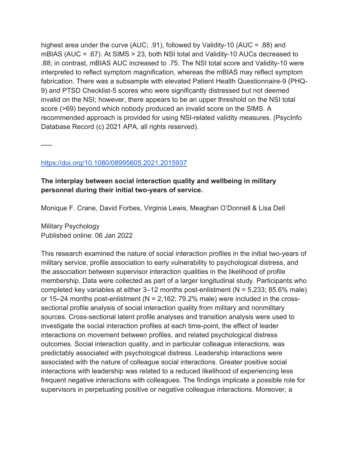highest area under the curve (AUC; .91), followed by Validity-10 (AUC = .88) and mBIAS (AUC = .67). At SIMS > 23, both NSI total and Validity-10 AUCs decreased to .88; in contrast, mBIAS AUC increased to .75. The NSI total score and Validity-10 were interpreted to reflect symptom magnification, whereas the mBIAS may reflect symptom fabrication. There was a subsample with elevated Patient Health Questionnaire-9 (PHQ-9) and PTSD Checklist-5 scores who were significantly distressed but not deemed invalid on the NSI; however, there appears to be an upper threshold on the NSI total score (>69) beyond which nobody produced an invalid score on the SIMS. A recommended approach is provided for using NSI-related validity measures. (PsycInfo Database Record (c) 2021 APA, all rights reserved).

—--

### https://doi.org/10.1080/08995605.2021.2015937

# **The interplay between social interaction quality and wellbeing in military personnel during their initial two-years of service.**

Monique F. Crane, David Forbes, Virginia Lewis, Meaghan O'Donnell & Lisa Dell

Military Psychology Published online: 06 Jan 2022

This research examined the nature of social interaction profiles in the initial two-years of military service, profile association to early vulnerability to psychological distress, and the association between supervisor interaction qualities in the likelihood of profile membership. Data were collected as part of a larger longitudinal study. Participants who completed key variables at either  $3-12$  months post-enlistment ( $N = 5,233$ ; 85.6% male) or 15–24 months post-enlistment ( $N = 2,162$ ; 79.2% male) were included in the crosssectional profile analysis of social interaction quality from military and nonmilitary sources. Cross-sectional latent profile analyses and transition analysis were used to investigate the social interaction profiles at each time-point, the effect of leader interactions on movement between profiles, and related psychological distress outcomes. Social interaction quality, and in particular colleague interactions, was predictably associated with psychological distress. Leadership interactions were associated with the nature of colleague social interactions. Greater positive social interactions with leadership was related to a reduced likelihood of experiencing less frequent negative interactions with colleagues. The findings implicate a possible role for supervisors in perpetuating positive or negative colleague interactions. Moreover, a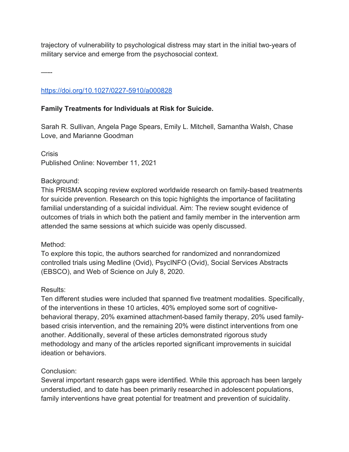trajectory of vulnerability to psychological distress may start in the initial two-years of military service and emerge from the psychosocial context.

—--

# https://doi.org/10.1027/0227-5910/a000828

### **Family Treatments for Individuals at Risk for Suicide.**

Sarah R. Sullivan, Angela Page Spears, Emily L. Mitchell, Samantha Walsh, Chase Love, and Marianne Goodman

**Crisis** Published Online: November 11, 2021

### Background:

This PRISMA scoping review explored worldwide research on family-based treatments for suicide prevention. Research on this topic highlights the importance of facilitating familial understanding of a suicidal individual. Aim: The review sought evidence of outcomes of trials in which both the patient and family member in the intervention arm attended the same sessions at which suicide was openly discussed.

### Method:

To explore this topic, the authors searched for randomized and nonrandomized controlled trials using Medline (Ovid), PsycINFO (Ovid), Social Services Abstracts (EBSCO), and Web of Science on July 8, 2020.

### Results:

Ten different studies were included that spanned five treatment modalities. Specifically, of the interventions in these 10 articles, 40% employed some sort of cognitivebehavioral therapy, 20% examined attachment-based family therapy, 20% used familybased crisis intervention, and the remaining 20% were distinct interventions from one another. Additionally, several of these articles demonstrated rigorous study methodology and many of the articles reported significant improvements in suicidal ideation or behaviors.

### Conclusion:

Several important research gaps were identified. While this approach has been largely understudied, and to date has been primarily researched in adolescent populations, family interventions have great potential for treatment and prevention of suicidality.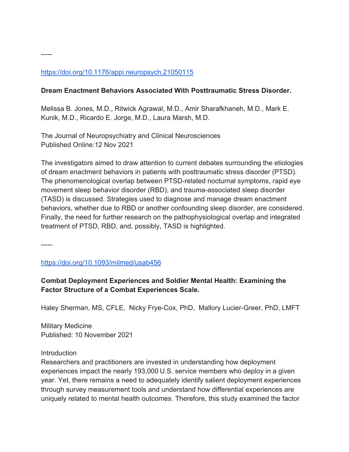## https://doi.org/10.1176/appi.neuropsych.21050115

#### **Dream Enactment Behaviors Associated With Posttraumatic Stress Disorder.**

Melissa B. Jones, M.D., Ritwick Agrawal, M.D., Amir Sharafkhaneh, M.D., Mark E. Kunik, M.D., Ricardo E. Jorge, M.D., Laura Marsh, M.D.

The Journal of Neuropsychiatry and Clinical Neurosciences Published Online:12 Nov 2021

The investigators aimed to draw attention to current debates surrounding the etiologies of dream enactment behaviors in patients with posttraumatic stress disorder (PTSD). The phenomenological overlap between PTSD-related nocturnal symptoms, rapid eye movement sleep behavior disorder (RBD), and trauma-associated sleep disorder (TASD) is discussed. Strategies used to diagnose and manage dream enactment behaviors, whether due to RBD or another confounding sleep disorder, are considered. Finally, the need for further research on the pathophysiological overlap and integrated treatment of PTSD, RBD, and, possibly, TASD is highlighted.

—--

—--

https://doi.org/10.1093/milmed/usab456

### **Combat Deployment Experiences and Soldier Mental Health: Examining the Factor Structure of a Combat Experiences Scale.**

Haley Sherman, MS, CFLE, Nicky Frye-Cox, PhD, Mallory Lucier-Greer, PhD, LMFT

Military Medicine Published: 10 November 2021

#### **Introduction**

Researchers and practitioners are invested in understanding how deployment experiences impact the nearly 193,000 U.S. service members who deploy in a given year. Yet, there remains a need to adequately identify salient deployment experiences through survey measurement tools and understand how differential experiences are uniquely related to mental health outcomes. Therefore, this study examined the factor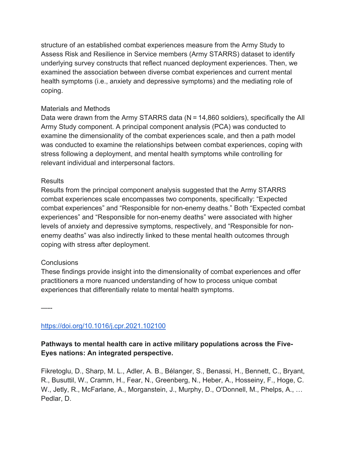structure of an established combat experiences measure from the Army Study to Assess Risk and Resilience in Service members (Army STARRS) dataset to identify underlying survey constructs that reflect nuanced deployment experiences. Then, we examined the association between diverse combat experiences and current mental health symptoms (i.e., anxiety and depressive symptoms) and the mediating role of coping.

### Materials and Methods

Data were drawn from the Army STARRS data (N = 14,860 soldiers), specifically the All Army Study component. A principal component analysis (PCA) was conducted to examine the dimensionality of the combat experiences scale, and then a path model was conducted to examine the relationships between combat experiences, coping with stress following a deployment, and mental health symptoms while controlling for relevant individual and interpersonal factors.

#### Results

Results from the principal component analysis suggested that the Army STARRS combat experiences scale encompasses two components, specifically: "Expected combat experiences" and "Responsible for non-enemy deaths." Both "Expected combat experiences" and "Responsible for non-enemy deaths" were associated with higher levels of anxiety and depressive symptoms, respectively, and "Responsible for nonenemy deaths" was also indirectly linked to these mental health outcomes through coping with stress after deployment.

#### **Conclusions**

These findings provide insight into the dimensionality of combat experiences and offer practitioners a more nuanced understanding of how to process unique combat experiences that differentially relate to mental health symptoms.

—--

https://doi.org/10.1016/j.cpr.2021.102100

# **Pathways to mental health care in active military populations across the Five-Eyes nations: An integrated perspective.**

Fikretoglu, D., Sharp, M. L., Adler, A. B., Bélanger, S., Benassi, H., Bennett, C., Bryant, R., Busuttil, W., Cramm, H., Fear, N., Greenberg, N., Heber, A., Hosseiny, F., Hoge, C. W., Jetly, R., McFarlane, A., Morganstein, J., Murphy, D., O'Donnell, M., Phelps, A., … Pedlar, D.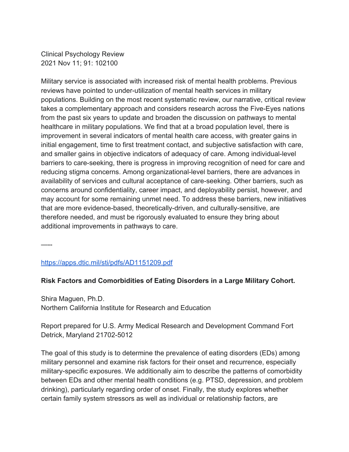Clinical Psychology Review 2021 Nov 11; 91: 102100

Military service is associated with increased risk of mental health problems. Previous reviews have pointed to under-utilization of mental health services in military populations. Building on the most recent systematic review, our narrative, critical review takes a complementary approach and considers research across the Five-Eyes nations from the past six years to update and broaden the discussion on pathways to mental healthcare in military populations. We find that at a broad population level, there is improvement in several indicators of mental health care access, with greater gains in initial engagement, time to first treatment contact, and subjective satisfaction with care, and smaller gains in objective indicators of adequacy of care. Among individual-level barriers to care-seeking, there is progress in improving recognition of need for care and reducing stigma concerns. Among organizational-level barriers, there are advances in availability of services and cultural acceptance of care-seeking. Other barriers, such as concerns around confidentiality, career impact, and deployability persist, however, and may account for some remaining unmet need. To address these barriers, new initiatives that are more evidence-based, theoretically-driven, and culturally-sensitive, are therefore needed, and must be rigorously evaluated to ensure they bring about additional improvements in pathways to care.

—--

https://apps.dtic.mil/sti/pdfs/AD1151209.pdf

#### **Risk Factors and Comorbidities of Eating Disorders in a Large Military Cohort.**

Shira Maguen, Ph.D. Northern California Institute for Research and Education

Report prepared for U.S. Army Medical Research and Development Command Fort Detrick, Maryland 21702-5012

The goal of this study is to determine the prevalence of eating disorders (EDs) among military personnel and examine risk factors for their onset and recurrence, especially military-specific exposures. We additionally aim to describe the patterns of comorbidity between EDs and other mental health conditions (e.g. PTSD, depression, and problem drinking), particularly regarding order of onset. Finally, the study explores whether certain family system stressors as well as individual or relationship factors, are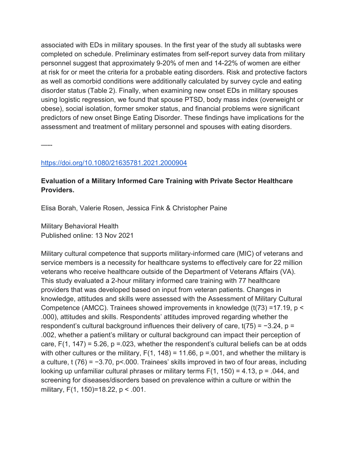associated with EDs in military spouses. In the first year of the study all subtasks were completed on schedule. Preliminary estimates from self-report survey data from military personnel suggest that approximately 9-20% of men and 14-22% of women are either at risk for or meet the criteria for a probable eating disorders. Risk and protective factors as well as comorbid conditions were additionally calculated by survey cycle and eating disorder status (Table 2). Finally, when examining new onset EDs in military spouses using logistic regression, we found that spouse PTSD, body mass index (overweight or obese), social isolation, former smoker status, and financial problems were significant predictors of new onset Binge Eating Disorder. These findings have implications for the assessment and treatment of military personnel and spouses with eating disorders.

—--

### https://doi.org/10.1080/21635781.2021.2000904

# **Evaluation of a Military Informed Care Training with Private Sector Healthcare Providers.**

Elisa Borah, Valerie Rosen, Jessica Fink & Christopher Paine

Military Behavioral Health Published online: 13 Nov 2021

Military cultural competence that supports military-informed care (MIC) of veterans and service members is a necessity for healthcare systems to effectively care for 22 million veterans who receive healthcare outside of the Department of Veterans Affairs (VA). This study evaluated a 2-hour military informed care training with 77 healthcare providers that was developed based on input from veteran patients. Changes in knowledge, attitudes and skills were assessed with the Assessment of Military Cultural Competence (AMCC). Trainees showed improvements in knowledge (t(73) =17.19, p < .000), attitudes and skills. Respondents' attitudes improved regarding whether the respondent's cultural background influences their delivery of care, t(75) = −3.24, p = .002, whether a patient's military or cultural background can impact their perception of care,  $F(1, 147) = 5.26$ ,  $p = 0.023$ , whether the respondent's cultural beliefs can be at odds with other cultures or the military,  $F(1, 148) = 11.66$ ,  $p = 0.001$ , and whether the military is a culture, t (76) = −3.70, p<.000. Trainees' skills improved in two of four areas, including looking up unfamiliar cultural phrases or military terms  $F(1, 150) = 4.13$ ,  $p = .044$ , and screening for diseases/disorders based on prevalence within a culture or within the military, F(1, 150)=18.22, p < .001.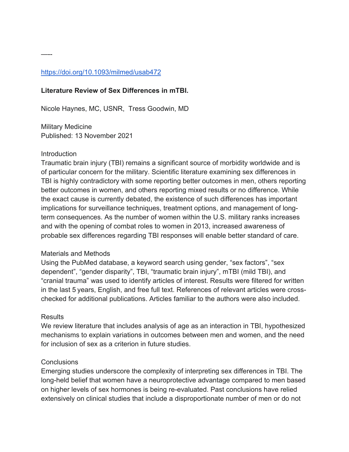### https://doi.org/10.1093/milmed/usab472

#### **Literature Review of Sex Differences in mTBI.**

Nicole Haynes, MC, USNR, Tress Goodwin, MD

Military Medicine Published: 13 November 2021

#### Introduction

—--

Traumatic brain injury (TBI) remains a significant source of morbidity worldwide and is of particular concern for the military. Scientific literature examining sex differences in TBI is highly contradictory with some reporting better outcomes in men, others reporting better outcomes in women, and others reporting mixed results or no difference. While the exact cause is currently debated, the existence of such differences has important implications for surveillance techniques, treatment options, and management of longterm consequences. As the number of women within the U.S. military ranks increases and with the opening of combat roles to women in 2013, increased awareness of probable sex differences regarding TBI responses will enable better standard of care.

#### Materials and Methods

Using the PubMed database, a keyword search using gender, "sex factors", "sex dependent", "gender disparity", TBI, "traumatic brain injury", mTBI (mild TBI), and "cranial trauma" was used to identify articles of interest. Results were filtered for written in the last 5 years, English, and free full text. References of relevant articles were crosschecked for additional publications. Articles familiar to the authors were also included.

#### **Results**

We review literature that includes analysis of age as an interaction in TBI, hypothesized mechanisms to explain variations in outcomes between men and women, and the need for inclusion of sex as a criterion in future studies.

#### **Conclusions**

Emerging studies underscore the complexity of interpreting sex differences in TBI. The long-held belief that women have a neuroprotective advantage compared to men based on higher levels of sex hormones is being re-evaluated. Past conclusions have relied extensively on clinical studies that include a disproportionate number of men or do not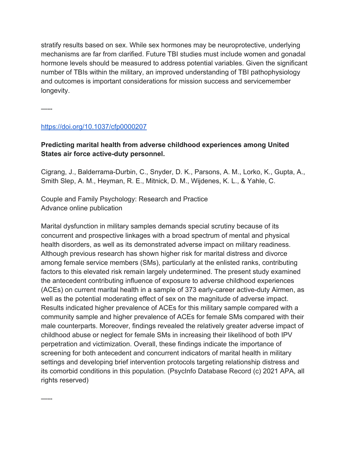stratify results based on sex. While sex hormones may be neuroprotective, underlying mechanisms are far from clarified. Future TBI studies must include women and gonadal hormone levels should be measured to address potential variables. Given the significant number of TBIs within the military, an improved understanding of TBI pathophysiology and outcomes is important considerations for mission success and servicemember longevity.

—--

—--

### https://doi.org/10.1037/cfp0000207

# **Predicting marital health from adverse childhood experiences among United States air force active-duty personnel.**

Cigrang, J., Balderrama-Durbin, C., Snyder, D. K., Parsons, A. M., Lorko, K., Gupta, A., Smith Slep, A. M., Heyman, R. E., Mitnick, D. M., Wijdenes, K. L., & Yahle, C.

Couple and Family Psychology: Research and Practice Advance online publication

Marital dysfunction in military samples demands special scrutiny because of its concurrent and prospective linkages with a broad spectrum of mental and physical health disorders, as well as its demonstrated adverse impact on military readiness. Although previous research has shown higher risk for marital distress and divorce among female service members (SMs), particularly at the enlisted ranks, contributing factors to this elevated risk remain largely undetermined. The present study examined the antecedent contributing influence of exposure to adverse childhood experiences (ACEs) on current marital health in a sample of 373 early-career active-duty Airmen, as well as the potential moderating effect of sex on the magnitude of adverse impact. Results indicated higher prevalence of ACEs for this military sample compared with a community sample and higher prevalence of ACEs for female SMs compared with their male counterparts. Moreover, findings revealed the relatively greater adverse impact of childhood abuse or neglect for female SMs in increasing their likelihood of both IPV perpetration and victimization. Overall, these findings indicate the importance of screening for both antecedent and concurrent indicators of marital health in military settings and developing brief intervention protocols targeting relationship distress and its comorbid conditions in this population. (PsycInfo Database Record (c) 2021 APA, all rights reserved)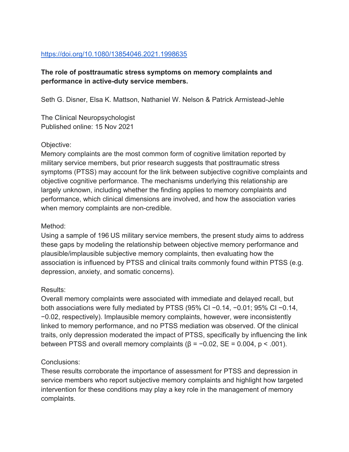### https://doi.org/10.1080/13854046.2021.1998635

# **The role of posttraumatic stress symptoms on memory complaints and performance in active-duty service members.**

Seth G. Disner, Elsa K. Mattson, Nathaniel W. Nelson & Patrick Armistead-Jehle

The Clinical Neuropsychologist Published online: 15 Nov 2021

### Objective:

Memory complaints are the most common form of cognitive limitation reported by military service members, but prior research suggests that posttraumatic stress symptoms (PTSS) may account for the link between subjective cognitive complaints and objective cognitive performance. The mechanisms underlying this relationship are largely unknown, including whether the finding applies to memory complaints and performance, which clinical dimensions are involved, and how the association varies when memory complaints are non-credible.

#### Method:

Using a sample of 196 US military service members, the present study aims to address these gaps by modeling the relationship between objective memory performance and plausible/implausible subjective memory complaints, then evaluating how the association is influenced by PTSS and clinical traits commonly found within PTSS (e.g. depression, anxiety, and somatic concerns).

### Results:

Overall memory complaints were associated with immediate and delayed recall, but both associations were fully mediated by PTSS (95% CI −0.14, −0.01; 95% CI −0.14, −0.02, respectively). Implausible memory complaints, however, were inconsistently linked to memory performance, and no PTSS mediation was observed. Of the clinical traits, only depression moderated the impact of PTSS, specifically by influencing the link between PTSS and overall memory complaints  $(\beta = -0.02, SE = 0.004, p < .001)$ .

### Conclusions:

These results corroborate the importance of assessment for PTSS and depression in service members who report subjective memory complaints and highlight how targeted intervention for these conditions may play a key role in the management of memory complaints.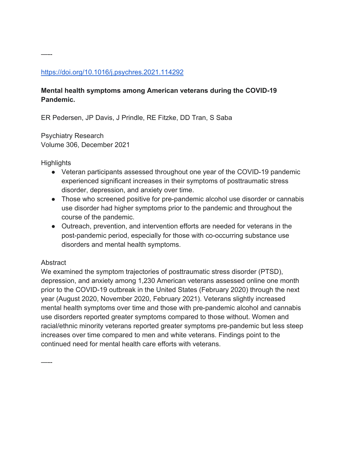### https://doi.org/10.1016/j.psychres.2021.114292

# **Mental health symptoms among American veterans during the COVID-19 Pandemic.**

ER Pedersen, JP Davis, J Prindle, RE Fitzke, DD Tran, S Saba

Psychiatry Research Volume 306, December 2021

**Highlights** 

—--

- Veteran participants assessed throughout one year of the COVID-19 pandemic experienced significant increases in their symptoms of posttraumatic stress disorder, depression, and anxiety over time.
- Those who screened positive for pre-pandemic alcohol use disorder or cannabis use disorder had higher symptoms prior to the pandemic and throughout the course of the pandemic.
- Outreach, prevention, and intervention efforts are needed for veterans in the post-pandemic period, especially for those with co-occurring substance use disorders and mental health symptoms.

### **Abstract**

—--

We examined the symptom trajectories of posttraumatic stress disorder (PTSD), depression, and anxiety among 1,230 American veterans assessed online one month prior to the COVID-19 outbreak in the United States (February 2020) through the next year (August 2020, November 2020, February 2021). Veterans slightly increased mental health symptoms over time and those with pre-pandemic alcohol and cannabis use disorders reported greater symptoms compared to those without. Women and racial/ethnic minority veterans reported greater symptoms pre-pandemic but less steep increases over time compared to men and white veterans. Findings point to the continued need for mental health care efforts with veterans.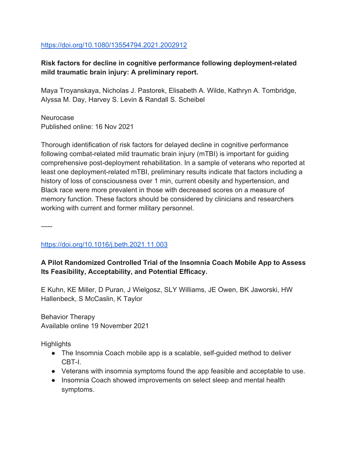#### https://doi.org/10.1080/13554794.2021.2002912

### **Risk factors for decline in cognitive performance following deployment-related mild traumatic brain injury: A preliminary report.**

Maya Troyanskaya, Nicholas J. Pastorek, Elisabeth A. Wilde, Kathryn A. Tombridge, Alyssa M. Day, Harvey S. Levin & Randall S. Scheibel

Neurocase Published online: 16 Nov 2021

Thorough identification of risk factors for delayed decline in cognitive performance following combat-related mild traumatic brain injury (mTBI) is important for guiding comprehensive post-deployment rehabilitation. In a sample of veterans who reported at least one deployment-related mTBI, preliminary results indicate that factors including a history of loss of consciousness over 1 min, current obesity and hypertension, and Black race were more prevalent in those with decreased scores on a measure of memory function. These factors should be considered by clinicians and researchers working with current and former military personnel.

—--

https://doi.org/10.1016/j.beth.2021.11.003

### **A Pilot Randomized Controlled Trial of the Insomnia Coach Mobile App to Assess Its Feasibility, Acceptability, and Potential Efficacy.**

E Kuhn, KE Miller, D Puran, J Wielgosz, SLY Williams, JE Owen, BK Jaworski, HW Hallenbeck, S McCaslin, K Taylor

Behavior Therapy Available online 19 November 2021

**Highlights** 

- The Insomnia Coach mobile app is a scalable, self-guided method to deliver CBT-I.
- Veterans with insomnia symptoms found the app feasible and acceptable to use.
- Insomnia Coach showed improvements on select sleep and mental health symptoms.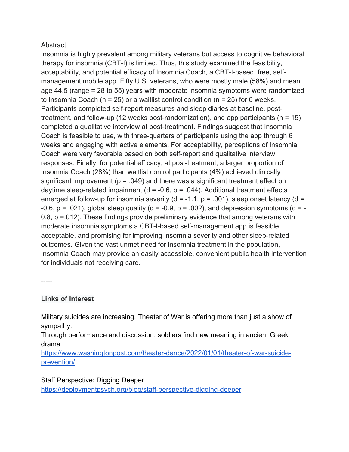### **Abstract**

Insomnia is highly prevalent among military veterans but access to cognitive behavioral therapy for insomnia (CBT-I) is limited. Thus, this study examined the feasibility, acceptability, and potential efficacy of Insomnia Coach, a CBT-I-based, free, selfmanagement mobile app. Fifty U.S. veterans, who were mostly male (58%) and mean age 44.5 (range = 28 to 55) years with moderate insomnia symptoms were randomized to Insomnia Coach ( $n = 25$ ) or a waitlist control condition ( $n = 25$ ) for 6 weeks. Participants completed self-report measures and sleep diaries at baseline, posttreatment, and follow-up (12 weeks post-randomization), and app participants ( $n = 15$ ) completed a qualitative interview at post-treatment. Findings suggest that Insomnia Coach is feasible to use, with three-quarters of participants using the app through 6 weeks and engaging with active elements. For acceptability, perceptions of Insomnia Coach were very favorable based on both self-report and qualitative interview responses. Finally, for potential efficacy, at post-treatment, a larger proportion of Insomnia Coach (28%) than waitlist control participants (4%) achieved clinically significant improvement ( $p = .049$ ) and there was a significant treatment effect on daytime sleep-related impairment ( $d = -0.6$ ,  $p = .044$ ). Additional treatment effects emerged at follow-up for insomnia severity (d = -1.1,  $p = .001$ ), sleep onset latency (d = -0.6,  $p = .021$ ), global sleep quality (d = -0.9,  $p = .002$ ), and depression symptoms (d = -0.8,  $p = 012$ ). These findings provide preliminary evidence that among veterans with moderate insomnia symptoms a CBT-I-based self-management app is feasible, acceptable, and promising for improving insomnia severity and other sleep-related outcomes. Given the vast unmet need for insomnia treatment in the population, Insomnia Coach may provide an easily accessible, convenient public health intervention for individuals not receiving care.

-----

### **Links of Interest**

Military suicides are increasing. Theater of War is offering more than just a show of sympathy.

Through performance and discussion, soldiers find new meaning in ancient Greek drama

https://www.washingtonpost.com/theater-dance/2022/01/01/theater-of-war-suicideprevention/

Staff Perspective: Digging Deeper https://deploymentpsych.org/blog/staff-perspective-digging-deeper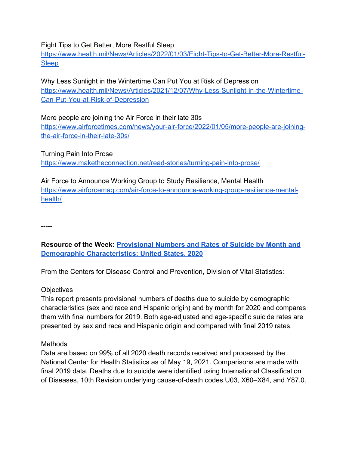#### Eight Tips to Get Better, More Restful Sleep

https://www.health.mil/News/Articles/2022/01/03/Eight-Tips-to-Get-Better-More-Restful-Sleep

Why Less Sunlight in the Wintertime Can Put You at Risk of Depression https://www.health.mil/News/Articles/2021/12/07/Why-Less-Sunlight-in-the-Wintertime-Can-Put-You-at-Risk-of-Depression

More people are joining the Air Force in their late 30s https://www.airforcetimes.com/news/your-air-force/2022/01/05/more-people-are-joiningthe-air-force-in-their-late-30s/

Turning Pain Into Prose https://www.maketheconnection.net/read-stories/turning-pain-into-prose/

Air Force to Announce Working Group to Study Resilience, Mental Health https://www.airforcemag.com/air-force-to-announce-working-group-resilience-mentalhealth/

-----

# **Resource of the Week: Provisional Numbers and Rates of Suicide by Month and Demographic Characteristics: United States, 2020**

From the Centers for Disease Control and Prevention, Division of Vital Statistics:

#### **Objectives**

This report presents provisional numbers of deaths due to suicide by demographic characteristics (sex and race and Hispanic origin) and by month for 2020 and compares them with final numbers for 2019. Both age-adjusted and age-specific suicide rates are presented by sex and race and Hispanic origin and compared with final 2019 rates.

#### Methods

Data are based on 99% of all 2020 death records received and processed by the National Center for Health Statistics as of May 19, 2021. Comparisons are made with final 2019 data. Deaths due to suicide were identified using International Classification of Diseases, 10th Revision underlying cause-of-death codes U03, X60–X84, and Y87.0.